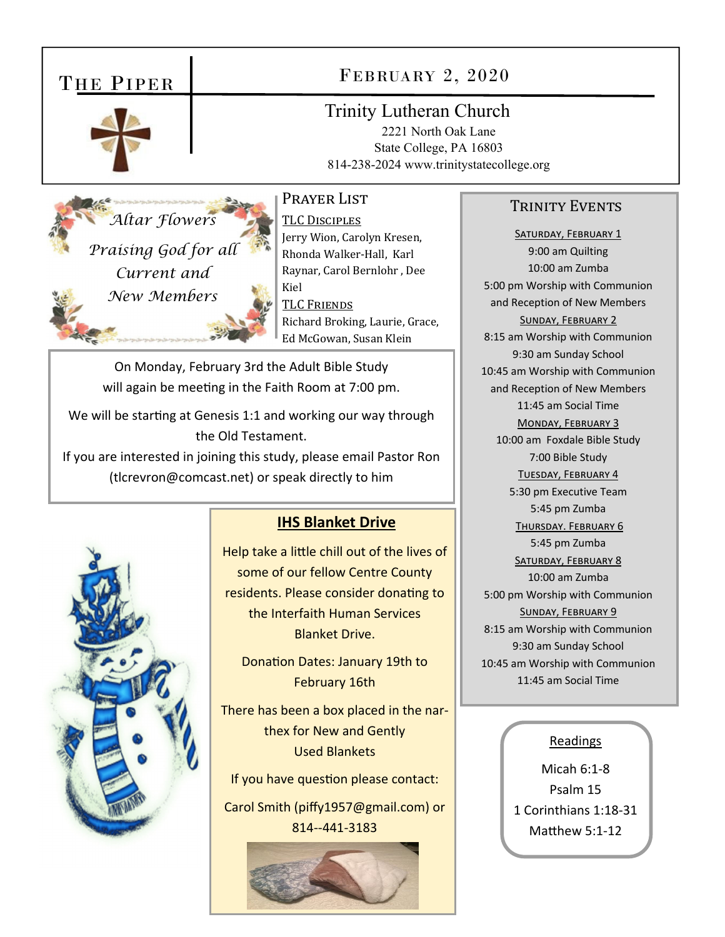# THE PIPER



## FEBRUARY 2, 2020

### **Trinity Lutheran Church**

2221 North Oak Lane State College, PA 16803 814-238-2024 www.trinitystatecollege.org

PRAYER LIST

Altar Flowers Praising God for all Current and New Members

TLC DISCIPLES Jerry Wion, Carolyn Kresen, Rhonda Walker-Hall, Karl Raynar, Carol Bernlohr, Dee Kiel **TLC FRIENDS** Richard Broking, Laurie, Grace, Ed McGowan, Susan Klein

On Monday, February 3rd the Adult Bible Study will again be meeting in the Faith Room at 7:00 pm.

We will be starting at Genesis 1:1 and working our way through the Old Testament.

If you are interested in joining this study, please email Pastor Ron (tlcrevron@comcast.net) or speak directly to him



#### **IHS Blanket Drive**

Help take a little chill out of the lives of some of our fellow Centre County residents. Please consider donating to the Interfaith Human Services **Blanket Drive.** 

Donation Dates: January 19th to **February 16th** 

There has been a box placed in the narthex for New and Gently **Used Blankets** 

If you have question please contact:

Carol Smith (piffy1957@gmail.com) or 814--441-3183



#### **TRINITY EVENTS**

SATURDAY, FEBRUARY 1 9:00 am Quilting 10:00 am Zumba 5:00 pm Worship with Communion and Reception of New Members SUNDAY, FEBRUARY 2 8:15 am Worship with Communion 9:30 am Sunday School 10:45 am Worship with Communion and Reception of New Members 11:45 am Social Time MONDAY, FEBRUARY 3 10:00 am Foxdale Bible Study 7:00 Bible Study TUESDAY, FEBRUARY 4 5:30 pm Executive Team 5:45 pm Zumba THURSDAY. FEBRUARY 6 5:45 pm Zumba SATURDAY, FEBRUARY 8 10:00 am Zumba 5:00 pm Worship with Communion SUNDAY, FEBRUARY 9 8:15 am Worship with Communion 9:30 am Sunday School 10:45 am Worship with Communion 11:45 am Social Time

#### Readings

Micah 6:1-8 Psalm 15 1 Corinthians 1:18-31 Matthew 5:1-12